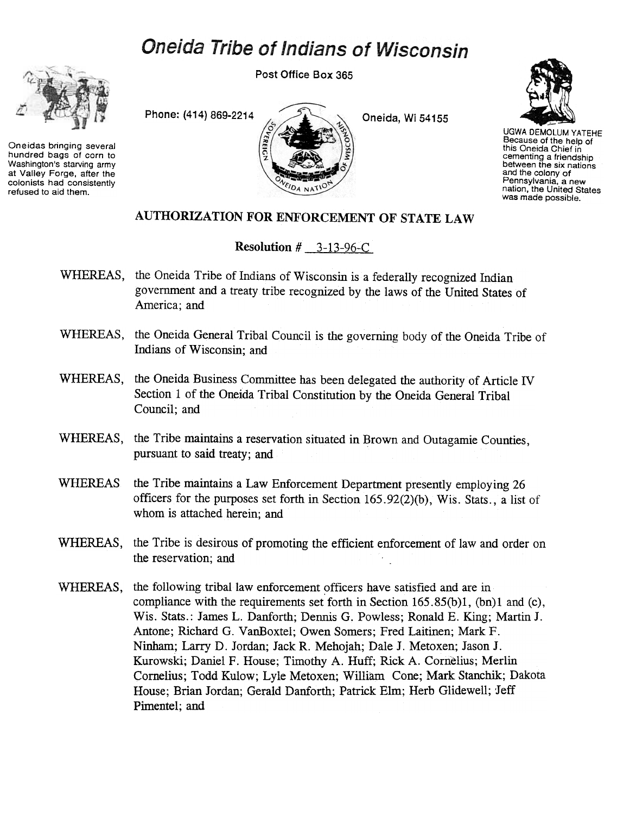## **Oneida Tribe of Indians of Wisconsin**



Oneidas bringing several hundred bags of corn to Washington's starving army at Valley Forge. after the colonists had consistently refused to aid them.

Post Office Box 365

Phone: (414) 869-2214 Oneida, Wi 54155



UGWA DEMOLUM YATEHE Because of the help of this Oneida Chief in cementing a friendship between the six nations and the colony of Pennsylvania. a new nation, the United States was made possible.

## AUTHORIZATION FOR ENFORCEMENT OF STATE LAW

Resolution # 3-13-96-C

- WHEREAS, the Oneida Tribe of Indians of Wisconsin is a federally recognized Indian government and a treaty tribe recognized by the laws of the United States of America; and
- WHEREAS, the Oneida General Tribal Council is the governing body of the Oneida Tribe of Indians of Wisconsin; and
- WHEREAS, the Oneida Business Committee has been delegated the authority of Article IV Section 1 of the Oneida Tribal Constitution by the Oneida General Tribal Council; and
- WHEREAS, the Tribe maintains a reservation situated in Brown and Outagamie Counties, pursuant to said treaty; and
- WHEREAS the Tribe maintains a Law Enforcement Department presently employing 26 officers for the purposes set forth in Section  $165.92(2)(b)$ , Wis. Stats., a list of whom is attached herein; and
- WHEREAS, the Tribe is desirous of promoting the efficient enforcement of law and order on the reservation; and
- WHEREAS, the following tribal law enforcement officers have satisfied and are in compliance with the requirements set forth in Section 165.85(b)1, (bn)l and (c), Wis. Stats.: James L. Danforth; Dennis G. Powless; Ronald E. King; Martin J. Antone; Richard G. VanBoxtel; Owen Somers; Fred Laitinen; Mark F. Ninham; Larry D. Jordan; Jack R. Mehojah; Dale J. Metoxen; Jason J. Kurowski; Daniel F. House; Timothy A. Huff; Rick A. Cornelius; Merlin Cornelius; Todd Kulow; Lyle Metoxen; William Cone; Mark Stanchik; Dakota House; Brian Jordan; Gerald Danforth; Patrick Elm; Herb Glidewell; Jeff Pimentel; and